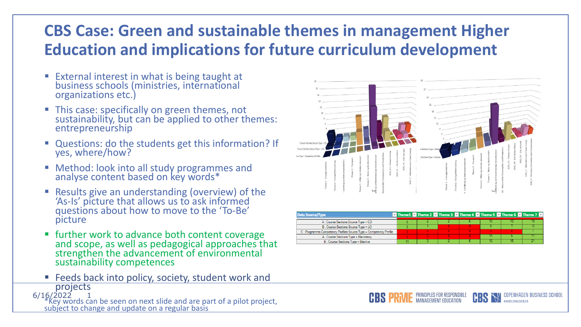## **CBS Case: Green and sustainable themes in management Higher Education and implications for future curriculum development**

- **External interest in what is being taught at** business schools (ministries, international organizations etc.)
- **This case: specifically on green themes, not** sustainability, but can be applied to other themes: entrepreneurship
- Questions: do the students get this information? If yes, where/how?
- **E** Method: look into all study programmes and analyse content based on key words\*
- Results give an understanding (overview) of the 'As-Is' picture that allows us to ask informed questions about how to move to the 'To-Be' picture
- **Ther work to advance both content coverage** and scope, as well as pedagogical approaches that strengthen the advancement of environmental sustainability competences
- 6/16/2022 ■ Feeds back into policy, society, student work and projects

\*Key words can be seen on next slide and are part of a pilot project, subject to change and update on a regular basis



| Data Source/Type                                                   |  |  |  | Theme 1 Theme 2 Theme 3 Theme 4 Theme 5 Theme 5 Theme 6 Theme 7 Theme 7 |
|--------------------------------------------------------------------|--|--|--|-------------------------------------------------------------------------|
| A: Course Sections: Source Type = CD                               |  |  |  |                                                                         |
| B: Course Sections: Source Type = LO                               |  |  |  |                                                                         |
| C: Programme Competency Profiles: Source Type = Competency Profile |  |  |  |                                                                         |
| A: Course Sections: Type = Mandatory                               |  |  |  |                                                                         |
| B: Course Sections: Type = Elective                                |  |  |  |                                                                         |

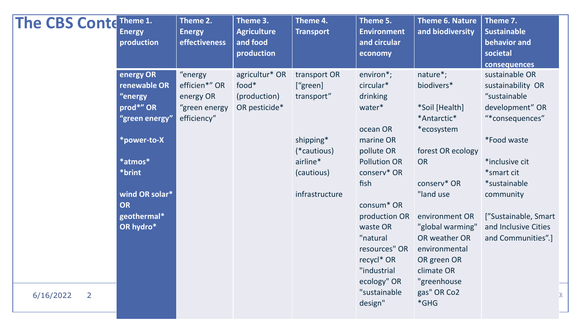| energy OR<br>"energy<br>agricultur* OR<br>transport OR<br>renewable OR<br>efficien*" OR<br>food*<br>['green]<br>"energy<br>energy OR<br>(production)<br>transport"<br>prod*" OR<br>OR pesticide*<br>"green energy<br>"green energy"<br>efficiency" | environ*;<br>circular*<br>drinking<br>water*                                                                                                                                                                          | nature*;<br>biodivers*<br>*Soil [Health]                                                                                                                                                                                   | sustainable OR<br>sustainability OR<br>"sustainable                                                                                                                                         |
|----------------------------------------------------------------------------------------------------------------------------------------------------------------------------------------------------------------------------------------------------|-----------------------------------------------------------------------------------------------------------------------------------------------------------------------------------------------------------------------|----------------------------------------------------------------------------------------------------------------------------------------------------------------------------------------------------------------------------|---------------------------------------------------------------------------------------------------------------------------------------------------------------------------------------------|
| shipping*<br>*power-to-X<br>(*cautious)<br>*atmos*<br>airline*<br>*brint<br>(cautious)<br>wind OR solar*<br>infrastructure<br>OR<br>geothermal*<br>OR hydro*<br>$\overline{2}$<br>6/16/2022                                                        | ocean OR<br>marine OR<br>pollute OR<br><b>Pollution OR</b><br>conserv* OR<br>fish<br>consum* OR<br>production OR<br>waste OR<br>"natural<br>resources" OR<br>recycl* OR<br>"industrial<br>ecology" OR<br>"sustainable | *Antarctic*<br>*ecosystem<br>forest OR ecology<br><b>OR</b><br>conserv* OR<br>"land use<br>environment OR<br>"global warming"<br>OR weather OR<br>environmental<br>OR green OR<br>climate OR<br>"greenhouse<br>gas" OR Co2 | development" OR<br>"*consequences"<br><i>*Food waste</i><br>*inclusive cit<br>*smart cit<br>*sustainable<br>community<br>["Sustainable, Smart<br>and Inclusive Cities<br>and Communities".] |